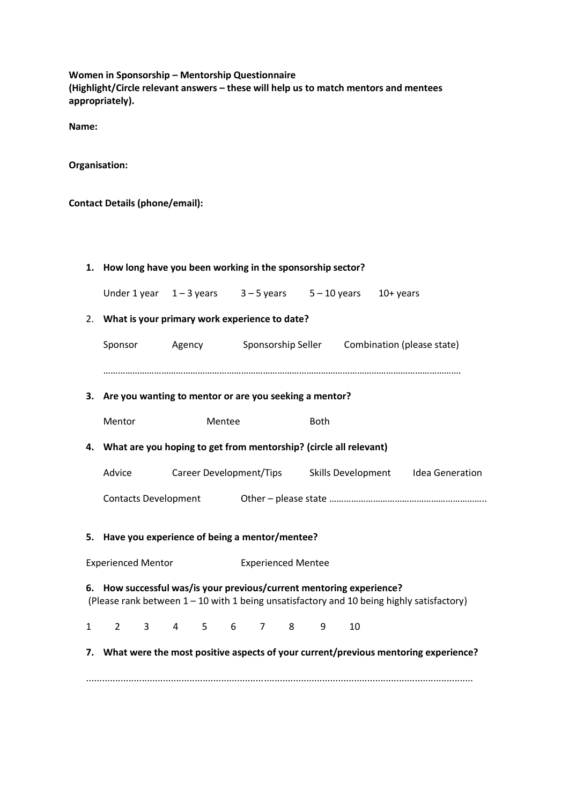**Women in Sponsorship – Mentorship Questionnaire (Highlight/Circle relevant answers – these will help us to match mentors and mentees appropriately).**

**Name:**

**Organisation:**

**Contact Details (phone/email):** 

|                                                                                                                                                                   | 1. How long have you been working in the sponsorship sector?                          |                                                               |           |                                                            |  |  |  |  |  |  |
|-------------------------------------------------------------------------------------------------------------------------------------------------------------------|---------------------------------------------------------------------------------------|---------------------------------------------------------------|-----------|------------------------------------------------------------|--|--|--|--|--|--|
|                                                                                                                                                                   |                                                                                       | Under 1 year $1-3$ years $3-5$ years $5-10$ years $10+$ years |           |                                                            |  |  |  |  |  |  |
| 2.                                                                                                                                                                |                                                                                       | What is your primary work experience to date?                 |           |                                                            |  |  |  |  |  |  |
|                                                                                                                                                                   | Sponsor                                                                               |                                                               |           | Agency Sponsorship Seller Combination (please state)       |  |  |  |  |  |  |
|                                                                                                                                                                   |                                                                                       |                                                               |           |                                                            |  |  |  |  |  |  |
|                                                                                                                                                                   | 3. Are you wanting to mentor or are you seeking a mentor?                             |                                                               |           |                                                            |  |  |  |  |  |  |
|                                                                                                                                                                   | Mentor<br>Mentee                                                                      |                                                               |           | <b>Both</b>                                                |  |  |  |  |  |  |
|                                                                                                                                                                   | 4. What are you hoping to get from mentorship? (circle all relevant)                  |                                                               |           |                                                            |  |  |  |  |  |  |
|                                                                                                                                                                   | Advice                                                                                |                                                               |           | Career Development/Tips Skills Development Idea Generation |  |  |  |  |  |  |
|                                                                                                                                                                   |                                                                                       |                                                               |           |                                                            |  |  |  |  |  |  |
|                                                                                                                                                                   | 5. Have you experience of being a mentor/mentee?                                      |                                                               |           |                                                            |  |  |  |  |  |  |
|                                                                                                                                                                   |                                                                                       |                                                               |           |                                                            |  |  |  |  |  |  |
|                                                                                                                                                                   | <b>Experienced Mentor</b><br><b>Experienced Mentee</b>                                |                                                               |           |                                                            |  |  |  |  |  |  |
| 6. How successful was/is your previous/current mentoring experience?<br>(Please rank between 1 - 10 with 1 being unsatisfactory and 10 being highly satisfactory) |                                                                                       |                                                               |           |                                                            |  |  |  |  |  |  |
| $\mathbf{1}$                                                                                                                                                      | $2^{\circ}$<br>$3 \quad \blacksquare$                                                 |                                                               | 4 5 6 7 8 | 9<br>10                                                    |  |  |  |  |  |  |
|                                                                                                                                                                   | 7. What were the most positive aspects of your current/previous mentoring experience? |                                                               |           |                                                            |  |  |  |  |  |  |
|                                                                                                                                                                   |                                                                                       |                                                               |           |                                                            |  |  |  |  |  |  |